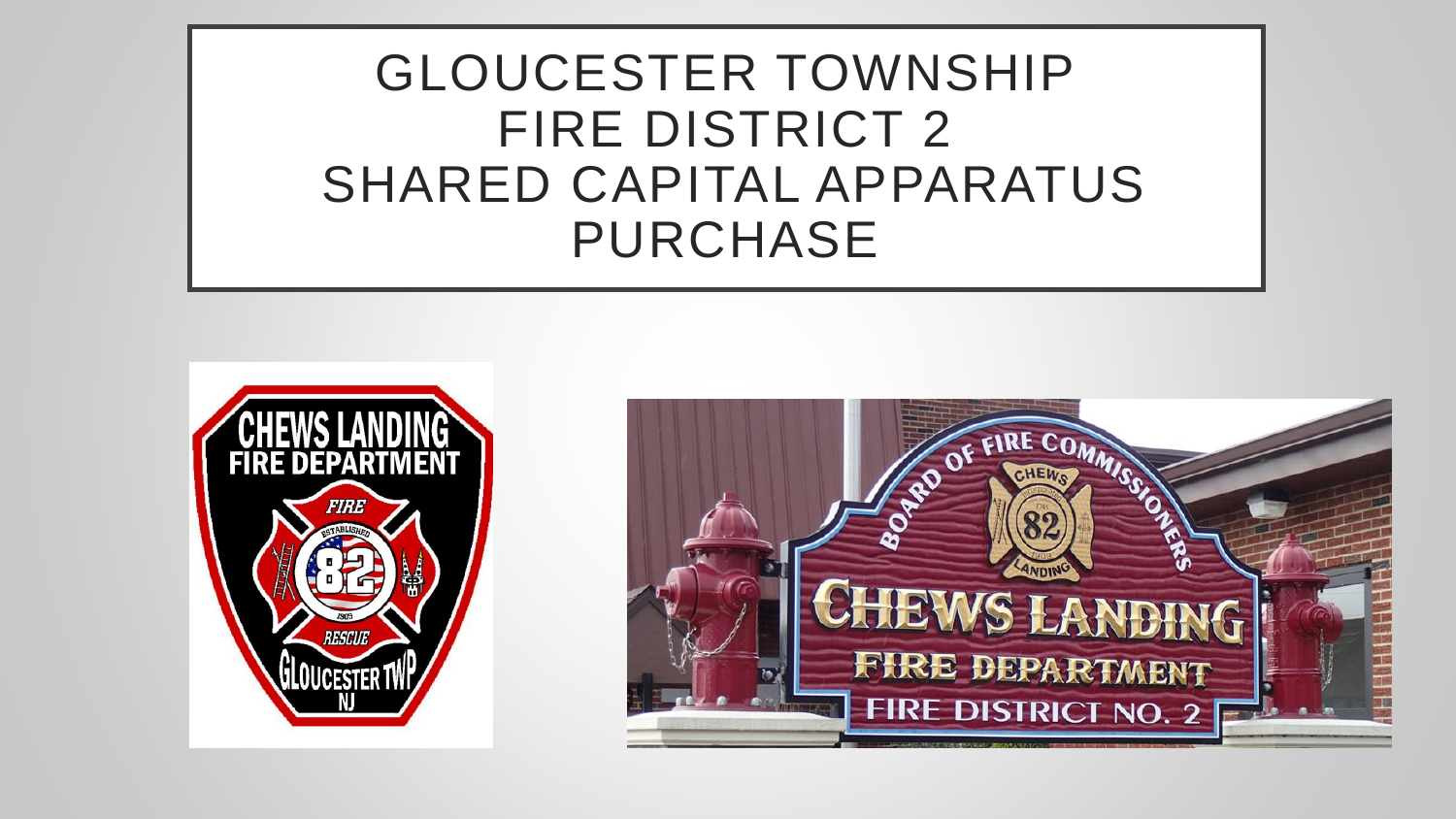GLOUCESTER TOWNSHIP FIRE DISTRICT 2 SHARED CAPITAL APPARATUS PURCHASE



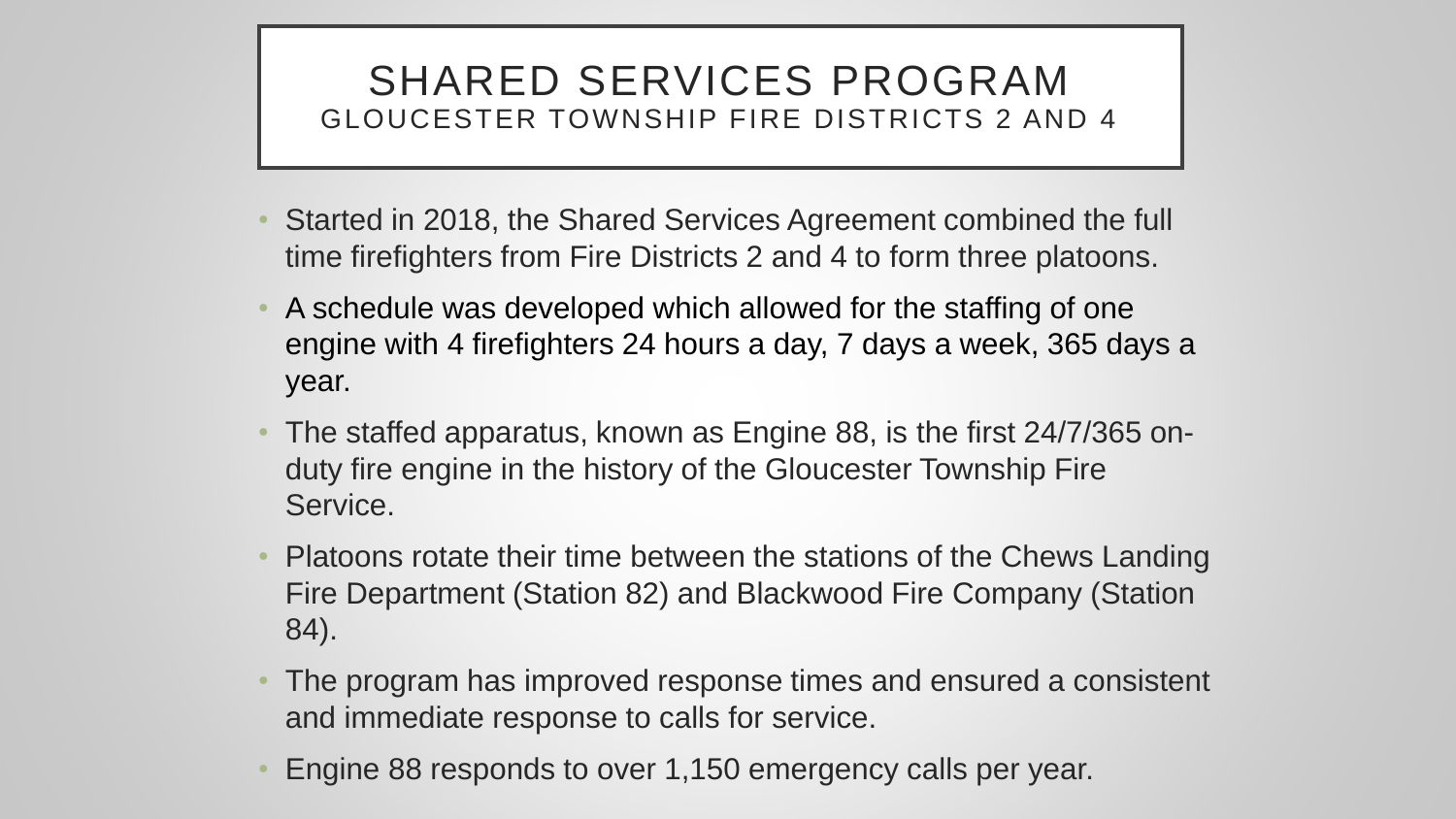#### SHARED SERVICES PROGRAM GLOUCESTER TOWNSHIP FIRE DISTRICTS 2 AND 4

- Started in 2018, the Shared Services Agreement combined the full time firefighters from Fire Districts 2 and 4 to form three platoons.
- A schedule was developed which allowed for the staffing of one engine with 4 firefighters 24 hours a day, 7 days a week, 365 days a year.
- The staffed apparatus, known as Engine 88, is the first 24/7/365 onduty fire engine in the history of the Gloucester Township Fire Service.
- Platoons rotate their time between the stations of the Chews Landing Fire Department (Station 82) and Blackwood Fire Company (Station 84).
- The program has improved response times and ensured a consistent and immediate response to calls for service.
- Engine 88 responds to over 1,150 emergency calls per year.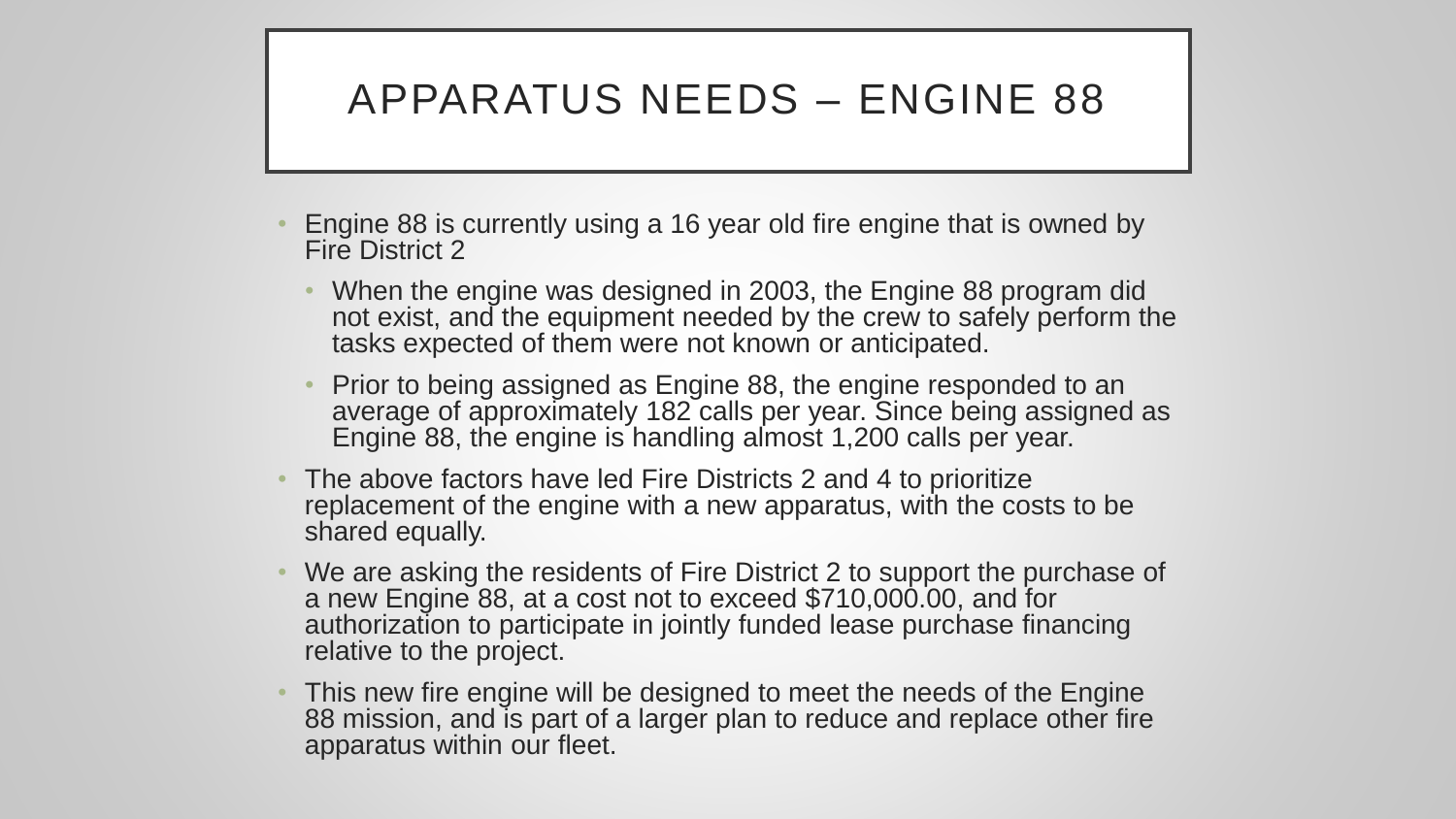#### APPARATUS NEEDS – ENGINE 88

- Engine 88 is currently using a 16 year old fire engine that is owned by Fire District 2
	- When the engine was designed in 2003, the Engine 88 program did not exist, and the equipment needed by the crew to safely perform the tasks expected of them were not known or anticipated.
	- Prior to being assigned as Engine 88, the engine responded to an average of approximately 182 calls per year. Since being assigned as Engine 88, the engine is handling almost 1,200 calls per year.
- The above factors have led Fire Districts 2 and 4 to prioritize replacement of the engine with a new apparatus, with the costs to be shared equally.
- We are asking the residents of Fire District 2 to support the purchase of a new Engine 88, at a cost not to exceed \$710,000.00, and for authorization to participate in jointly funded lease purchase financing relative to the project.
- This new fire engine will be designed to meet the needs of the Engine 88 mission, and is part of a larger plan to reduce and replace other fire apparatus within our fleet.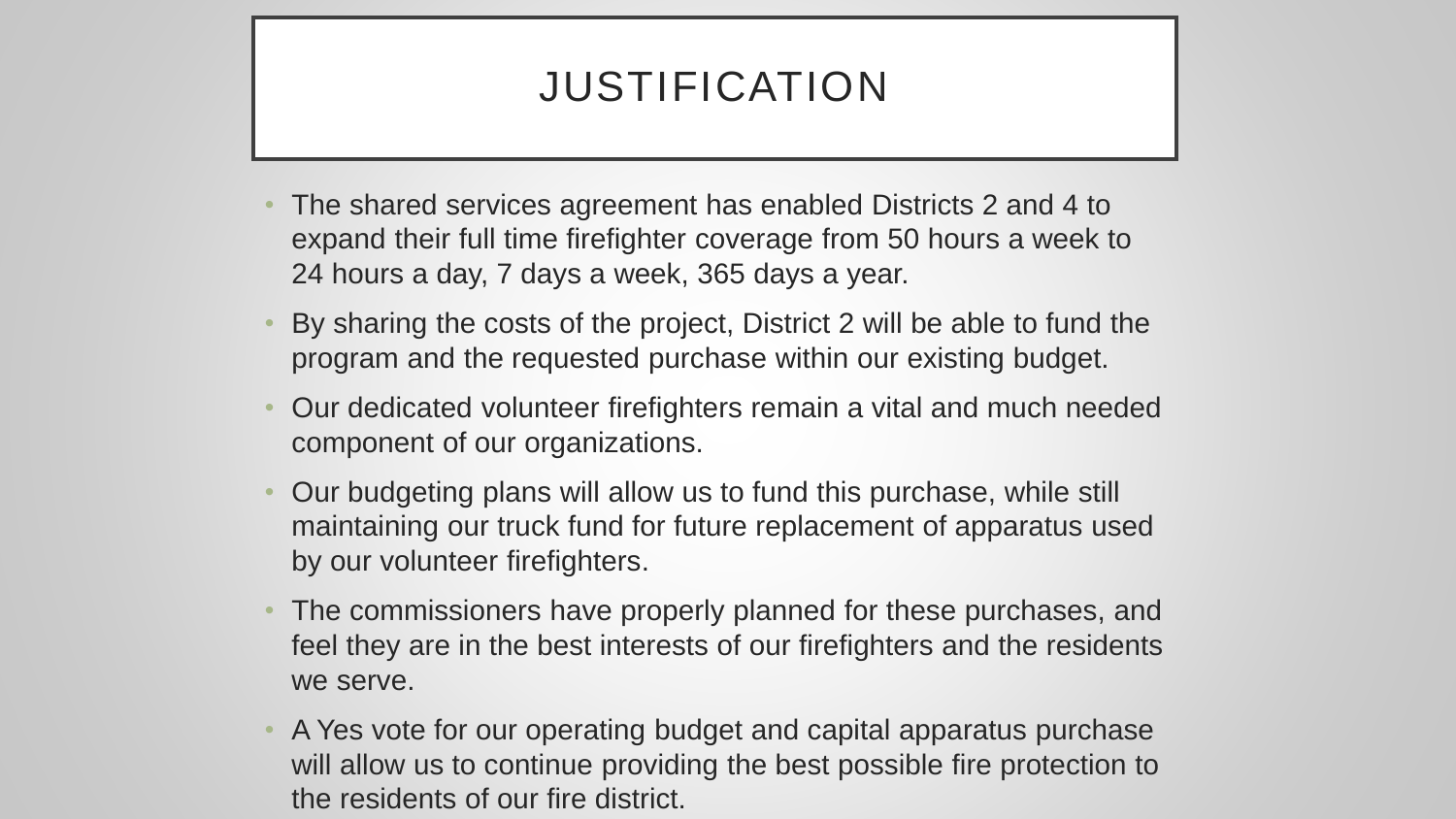## JUSTIFICATION

- The shared services agreement has enabled Districts 2 and 4 to expand their full time firefighter coverage from 50 hours a week to 24 hours a day, 7 days a week, 365 days a year.
- By sharing the costs of the project, District 2 will be able to fund the program and the requested purchase within our existing budget.
- Our dedicated volunteer firefighters remain a vital and much needed component of our organizations.
- Our budgeting plans will allow us to fund this purchase, while still maintaining our truck fund for future replacement of apparatus used by our volunteer firefighters.
- The commissioners have properly planned for these purchases, and feel they are in the best interests of our firefighters and the residents we serve.
- A Yes vote for our operating budget and capital apparatus purchase will allow us to continue providing the best possible fire protection to the residents of our fire district.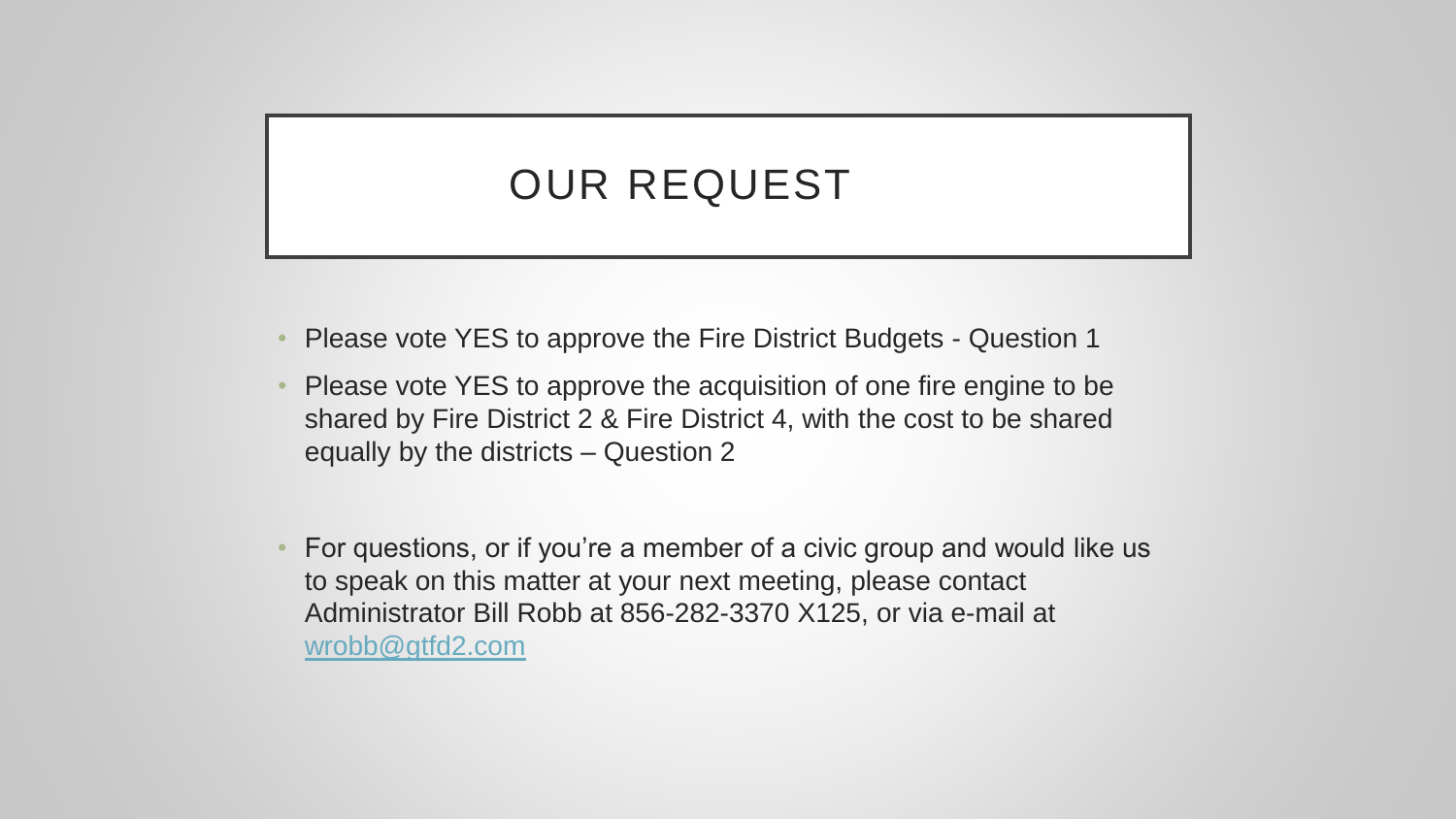### OUR REQUEST

- Please vote YES to approve the Fire District Budgets Question 1
- Please vote YES to approve the acquisition of one fire engine to be shared by Fire District 2 & Fire District 4, with the cost to be shared equally by the districts – Question 2
- For questions, or if you're a member of a civic group and would like us to speak on this matter at your next meeting, please contact Administrator Bill Robb at 856-282-3370 X125, or via e-mail at [wrobb@gtfd2.com](mailto:wrobb@gtfd2.com)